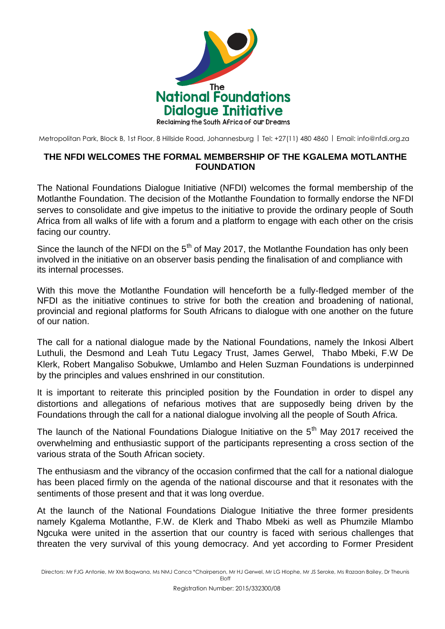

Metropolitan Park, Block B, 1st Floor, 8 Hillside Road, Johannesburg | Tel: +27(11) 480 4860 | Email: [info@nfdi.org.za](mailto:info@nfdi.org.za)

## **THE NFDI WELCOMES THE FORMAL MEMBERSHIP OF THE KGALEMA MOTLANTHE FOUNDATION**

The National Foundations Dialogue Initiative (NFDI) welcomes the formal membership of the Motlanthe Foundation. The decision of the Motlanthe Foundation to formally endorse the NFDI serves to consolidate and give impetus to the initiative to provide the ordinary people of South Africa from all walks of life with a forum and a platform to engage with each other on the crisis facing our country.

Since the launch of the NFDI on the  $5<sup>th</sup>$  of May 2017, the Motlanthe Foundation has only been involved in the initiative on an observer basis pending the finalisation of and compliance with its internal processes.

With this move the Motlanthe Foundation will henceforth be a fully-fledged member of the NFDI as the initiative continues to strive for both the creation and broadening of national, provincial and regional platforms for South Africans to dialogue with one another on the future of our nation.

The call for a national dialogue made by the National Foundations, namely the Inkosi Albert Luthuli, the Desmond and Leah Tutu Legacy Trust, James Gerwel, Thabo Mbeki, F.W De Klerk, Robert Mangaliso Sobukwe, Umlambo and Helen Suzman Foundations is underpinned by the principles and values enshrined in our constitution.

It is important to reiterate this principled position by the Foundation in order to dispel any distortions and allegations of nefarious motives that are supposedly being driven by the Foundations through the call for a national dialogue involving all the people of South Africa.

The launch of the National Foundations Dialogue Initiative on the  $5<sup>th</sup>$  May 2017 received the overwhelming and enthusiastic support of the participants representing a cross section of the various strata of the South African society.

The enthusiasm and the vibrancy of the occasion confirmed that the call for a national dialogue has been placed firmly on the agenda of the national discourse and that it resonates with the sentiments of those present and that it was long overdue.

At the launch of the National Foundations Dialogue Initiative the three former presidents namely Kgalema Motlanthe, F.W. de Klerk and Thabo Mbeki as well as Phumzile Mlambo Ngcuka were united in the assertion that our country is faced with serious challenges that threaten the very survival of this young democracy. And yet according to Former President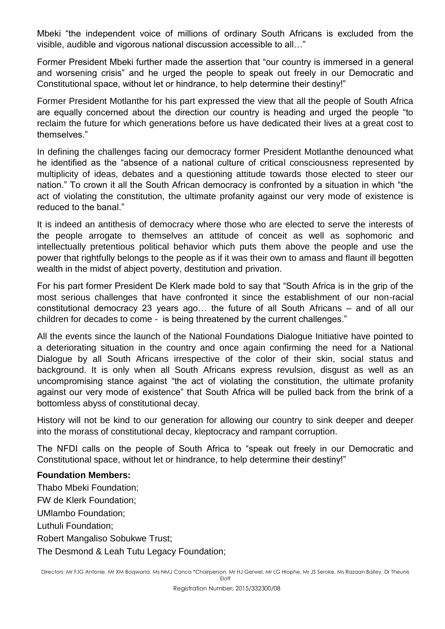Mbeki "the independent voice of millions of ordinary South Africans is excluded from the visible, audible and vigorous national discussion accessible to all…"

Former President Mbeki further made the assertion that "our country is immersed in a general and worsening crisis" and he urged the people to speak out freely in our Democratic and Constitutional space, without let or hindrance, to help determine their destiny!"

Former President Motlanthe for his part expressed the view that all the people of South Africa are equally concerned about the direction our country is heading and urged the people "to reclaim the future for which generations before us have dedicated their lives at a great cost to themselves."

In defining the challenges facing our democracy former President Motlanthe denounced what he identified as the "absence of a national culture of critical consciousness represented by multiplicity of ideas, debates and a questioning attitude towards those elected to steer our nation." To crown it all the South African democracy is confronted by a situation in which "the act of violating the constitution, the ultimate profanity against our very mode of existence is reduced to the banal."

It is indeed an antithesis of democracy where those who are elected to serve the interests of the people arrogate to themselves an attitude of conceit as well as sophomoric and intellectually pretentious political behavior which puts them above the people and use the power that rightfully belongs to the people as if it was their own to amass and flaunt ill begotten wealth in the midst of abject poverty, destitution and privation.

For his part former President De Klerk made bold to say that "South Africa is in the grip of the most serious challenges that have confronted it since the establishment of our non-racial constitutional democracy 23 years ago… the future of all South Africans – and of all our children for decades to come - is being threatened by the current challenges."

All the events since the launch of the National Foundations Dialogue Initiative have pointed to a deteriorating situation in the country and once again confirming the need for a National Dialogue by all South Africans irrespective of the color of their skin, social status and background. It is only when all South Africans express revulsion, disgust as well as an uncompromising stance against "the act of violating the constitution, the ultimate profanity against our very mode of existence" that South Africa will be pulled back from the brink of a bottomless abyss of constitutional decay.

History will not be kind to our generation for allowing our country to sink deeper and deeper into the morass of constitutional decay, kleptocracy and rampant corruption.

The NFDI calls on the people of South Africa to "speak out freely in our Democratic and Constitutional space, without let or hindrance, to help determine their destiny!"

## **Foundation Members:**

Thabo Mbeki Foundation; FW de Klerk Foundation; UMlambo Foundation; Luthuli Foundation; Robert Mangaliso Sobukwe Trust; The Desmond & Leah Tutu Legacy Foundation;